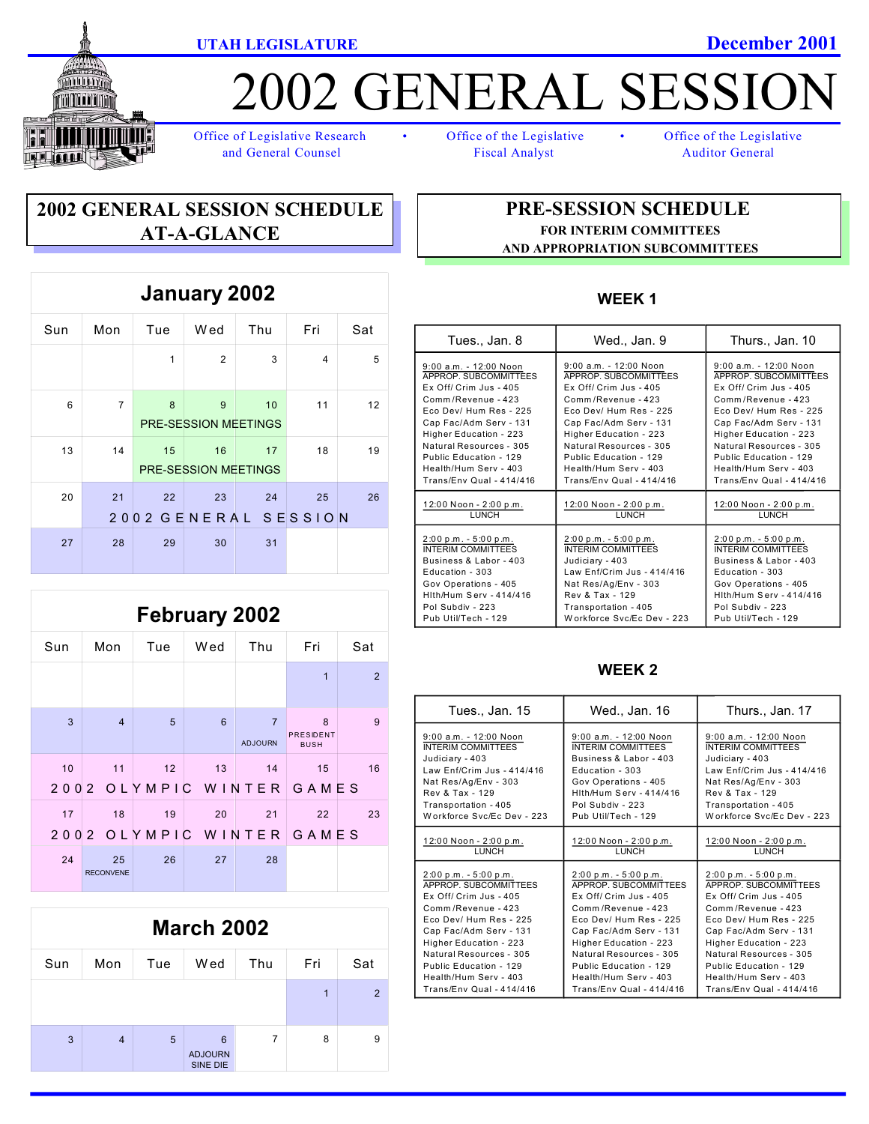



# 2002 GENERAL SESSIC

Office of Legislative Research • Office of the Legislative • Office of the Legislative and General Counsel Fiscal Analyst Auditor General

### **2002 GENERAL SESSION SCHEDULE AT-A-GLANCE**

| January 2002 |                |                  |                                   |     |                     |     |
|--------------|----------------|------------------|-----------------------------------|-----|---------------------|-----|
| Sun          | Mon            | Tue              | Wed                               | Thu | Fri                 | Sat |
|              |                | 1                | $\overline{2}$                    | 3   | $\overline{4}$      | 5   |
| 6            | $\overline{7}$ | 8                | 9<br><b>PRE-SESSION MEETINGS</b>  | 10  | 11                  | 12  |
| 13           | 14             | 15               | 16<br><b>PRE-SESSION MEETINGS</b> | 17  | 18                  | 19  |
| 20           | 21<br>20       | 22<br>02 GENERAL | 23                                | 24  | 25<br>S E S S I O N | 26  |
| 27           | 28             | 29               | 30                                | 31  |                     |     |

## **February 2002**

| Sun  | Mon                    | Tue    | Wed             | Thu                              | Fri                           | Sat |
|------|------------------------|--------|-----------------|----------------------------------|-------------------------------|-----|
|      |                        |        |                 |                                  | $\overline{1}$                | 2   |
| 3    | $\overline{4}$         | 5      | $6\phantom{1}6$ | $\overline{7}$<br><b>ADJOURN</b> | 8<br>PRESIDENT<br><b>BUSH</b> | 9   |
| 10   | 11                     | 12     | 13              | 14                               | 15                            | 16  |
| 2002 |                        | OLYMPI | C               | WINTER                           | GAMES                         |     |
| 17   | 18                     | 19     | 20              | 21                               | 22                            | 23  |
| 200  | 2                      | OLYMPI | WIN<br>С        | TER                              | GAMES                         |     |
| 24   | 25<br><b>RECONVENE</b> | 26     | 27              | 28                               |                               |     |



#### **PRE-SESSION SCHEDULE FOR INTERIM COMMITTEES AND APPROPRIATION SUBCOMMITTEES**

#### **WEEK 1**

| Tues., Jan. 8                  | Wed., Jan. 9               | Thurs., Jan. 10                |
|--------------------------------|----------------------------|--------------------------------|
| $9:00$ a.m. - 12:00 Noon       | $9:00$ a.m. - 12:00 Noon   | $9:00$ a.m. - 12:00 Noon       |
| APPROP. SUBCOMMITTEES          | APPROP. SUBCOMMITTEES      | APPROP. SUBCOMMITTEES          |
| Ex Off/ Crim Jus - 405         | $Ex$ Off/ Crim Jus - 405   | Ex Off/ Crim Jus - 405         |
| Comm/Revenue - 423             | Comm/Revenue - 423         | Comm/Revenue - 423             |
| Eco Dev/ Hum Res - 225         | Eco Dev/ Hum Res - 225     | Eco Dev/ Hum Res - 225         |
| Cap Fac/Adm Serv - 131         | Cap Fac/Adm Serv - 131     | Cap Fac/Adm Serv - 131         |
| Higher Education - 223         | Higher Education - 223     | Higher Education - 223         |
| Natural Resources - 305        | Natural Resources - 305    | Natural Resources - 305        |
| Public Education - 129         | Public Education - 129     | Public Education - 129         |
| Health/Hum Serv - 403          | Health/Hum Serv - 403      | Health/Hum Serv - 403          |
| Trans/Env Qual - 414/416       | Trans/Env Qual - 414/416   | Trans/Env Qual - 414/416       |
| 12:00 Noon - 2:00 p.m.         | 12:00 Noon - 2:00 p.m.     | 12:00 Noon - 2:00 p.m.         |
| LUNCH                          | LUNCH                      | LUNCH                          |
| $2:00 p.m. - 5:00 p.m.$        | $2:00 p.m. - 5:00 p.m.$    | $2:00 p.m. - 5:00 p.m.$        |
| <b>INTERIM COMMITTEES</b>      | <b>INTERIM COMMITTEES</b>  | <b>INTERIM COMMITTEES</b>      |
| Business & Labor - 403         | Judiciary - 403            | Business & Labor - 403         |
| Education - 303                | Law Enf/Crim Jus - 414/416 | Education - 303                |
| Gov Operations - 405           | Nat Res/Ag/Env - 303       | Gov Operations - 405           |
| <b>Hith/Hum Serv - 414/416</b> | Rev & Tax - 129            | <b>Hith/Hum Serv - 414/416</b> |
| Pol Subdiv - 223               | Transportation - 405       | Pol Subdiv - 223               |
| Pub Util/Tech - 129            | Workforce Syc/Ec Dev - 223 | Pub Util/Tech - 129            |

#### **WEEK 2**

| Tues., Jan. 15             | Wed., Jan. 16                  | Thurs., Jan. 17            |
|----------------------------|--------------------------------|----------------------------|
| $9:00$ a.m. $-12:00$ Noon  | $9:00$ a.m. - 12:00 Noon       | $9:00$ a.m. $-12:00$ Noon  |
| <b>INTERIM COMMITTEES</b>  | INTERIM COMMITTEES             | INTERIM COMMITTEES         |
| Judiciary - 403            | Business & Labor - 403         | Judiciary - 403            |
| Law Enf/Crim Jus - 414/416 | Education - 303                | Law Enf/Crim Jus - 414/416 |
| Nat Res/Ag/Env - 303       | Gov Operations - 405           | Nat Res/Ag/Env - 303       |
| Rev & Tax - 129            | <b>Hith/Hum Serv - 414/416</b> | Rev & Tax - 129            |
| Transportation - 405       | Pol Subdiv - 223               | Transportation - 405       |
| Workforce Syc/Ec Dev - 223 | Pub Util/Tech - 129            | Workforce Syc/Ec Dev - 223 |
| 12:00 Noon - 2:00 p.m.     | 12:00 Noon - 2:00 p.m.         | 12:00 Noon - 2:00 p.m.     |
| LUNCH                      | LUNCH                          | LUNCH                      |
| $2:00 p.m. - 5:00 p.m.$    | $2:00 p.m. - 5:00 p.m.$        | $2:00 p.m. - 5:00 p.m.$    |
| APPROP. SUBCOMMITTEES      | APPROP. SUBCOMMITTEES          | APPROP. SUBCOMMITTEES      |
| $Ex$ Off/ Crim Jus - 405   | $Ex$ Off/ Crim Jus - 405       | $Ex$ Off/ Crim Jus - 405   |
| Comm/Revenue - 423         | Comm/Revenue - 423             | Comm/Revenue - 423         |
| Eco Dev/ Hum Res - 225     | Eco Dev/ Hum Res - 225         | Eco Dev/ Hum Res - 225     |
| Cap Fac/Adm Serv - 131     | Cap Fac/Adm Serv - 131         | Cap Fac/Adm Serv - 131     |
| Higher Education - 223     | Higher Education - 223         | Higher Education - 223     |
| Natural Resources - 305    | Natural Resources - 305        | Natural Resources - 305    |
| Public Education - 129     | Public Education - 129         | Public Education - 129     |
| Health/Hum Serv - 403      | Health/Hum Serv - 403          | Health/Hum Serv - 403      |
| Trans/Env Qual - 414/416   | Trans/Env Qual - 414/416       | Trans/Env Qual - 414/416   |